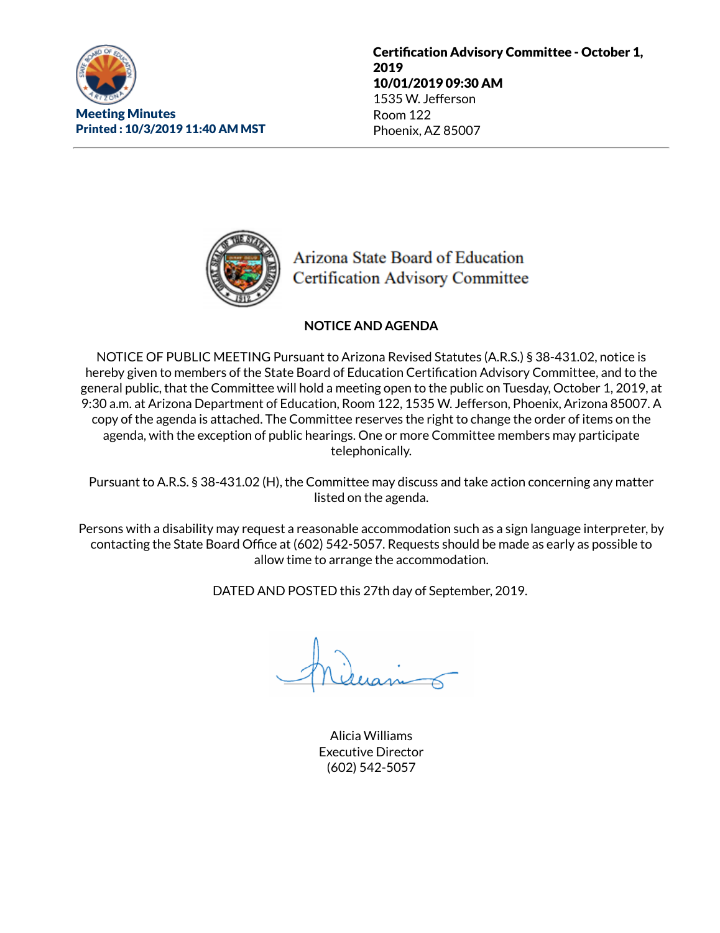

Certification Advisory Committee - October 1, 2019 10/01/2019 09:30 AM 1535 W. Jefferson Room 122 Phoenix, AZ 85007



Arizona State Board of Education **Certification Advisory Committee** 

# **NOTICE AND AGENDA**

NOTICE OF PUBLIC MEETING Pursuant to Arizona Revised Statutes (A.R.S.) § 38-431.02, notice is hereby given to members of the State Board of Education Certification Advisory Committee, and to the general public, that the Committee will hold a meeting open to the public on Tuesday, October 1, 2019, at 9:30 a.m. at Arizona Department of Education, Room 122, 1535 W. Jefferson, Phoenix, Arizona 85007. A copy of the agenda is attached. The Committee reserves the right to change the order of items on the agenda, with the exception of public hearings. One or more Committee members may participate telephonically.

Pursuant to A.R.S. § 38-431.02 (H), the Committee may discuss and take action concerning any matter listed on the agenda.

Persons with a disability may request a reasonable accommodation such as a sign language interpreter, by contacting the State Board Office at (602) 542-5057. Requests should be made as early as possible to allow time to arrange the accommodation.

DATED AND POSTED this 27th day of September, 2019.

Alicia Williams Executive Director (602) 542-5057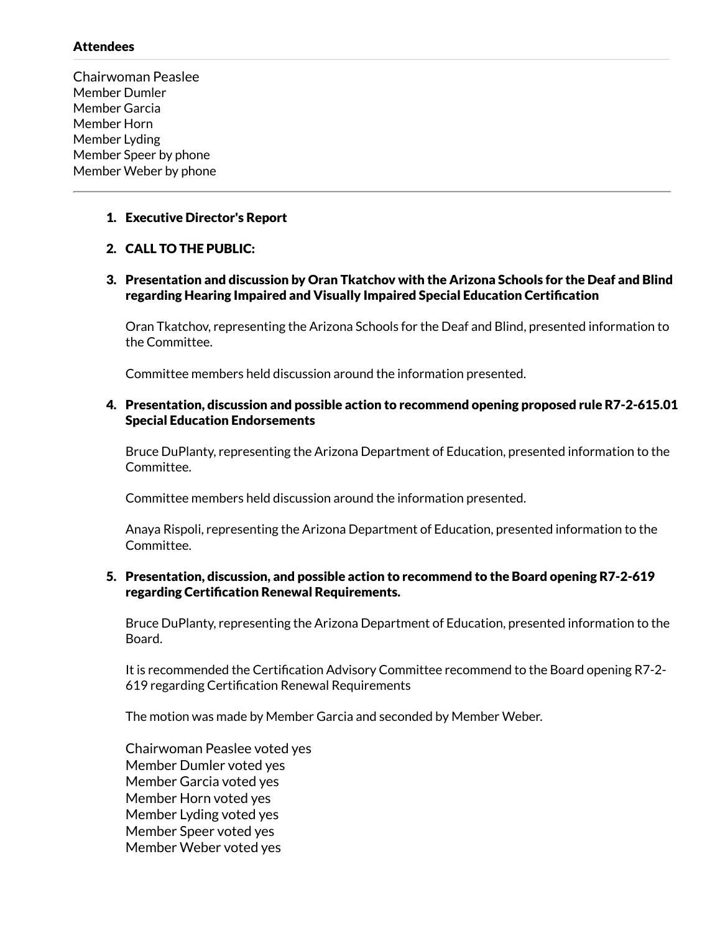## Attendees

Chairwoman Peaslee Member Dumler Member Garcia Member Horn Member Lyding Member Speer by phone Member Weber by phone

## 1. Executive Director's Report

## 2. CALL TO THE PUBLIC:

## 3. Presentation and discussion by Oran Tkatchov with the Arizona Schools for the Deaf and Blind regarding Hearing Impaired and Visually Impaired Special Education Certification

Oran Tkatchov, representing the Arizona Schools for the Deaf and Blind, presented information to the Committee.

Committee members held discussion around the information presented.

## 4. Presentation, discussion and possible action to recommend opening proposed rule R7-2-615.01 Special Education Endorsements

Bruce DuPlanty, representing the Arizona Department of Education, presented information to the Committee.

Committee members held discussion around the information presented.

Anaya Rispoli, representing the Arizona Department of Education, presented information to the Committee.

#### 5. Presentation, discussion, and possible action to recommend to the Board opening R7-2-619 regarding Certification Renewal Requirements.

Bruce DuPlanty, representing the Arizona Department of Education, presented information to the Board.

It is recommended the Certification Advisory Committee recommend to the Board opening R7-2-619 regarding Certification Renewal Requirements

The motion was made by Member Garcia and seconded by Member Weber.

Chairwoman Peaslee voted yes Member Dumler voted yes Member Garcia voted yes Member Horn voted yes Member Lyding voted yes Member Speer voted yes Member Weber voted yes